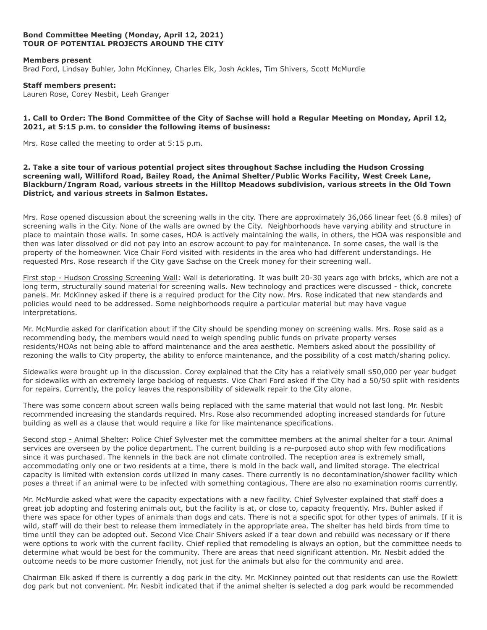# **Bond Committee Meeting (Monday, April 12, 2021) TOUR OF POTENTIAL PROJECTS AROUND THE CITY**

### **Members present**

Brad Ford, Lindsay Buhler, John McKinney, Charles Elk, Josh Ackles, Tim Shivers, Scott McMurdie

#### **Staff members present:**

Lauren Rose, Corey Nesbit, Leah Granger

# **1. Call to Order: The Bond Committee of the City of Sachse will hold a Regular Meeting on Monday, April 12, 2021, at 5:15 p.m. to consider the following items of business:**

Mrs. Rose called the meeting to order at 5:15 p.m.

**2. Take a site tour of various potential project sites throughout Sachse including the Hudson Crossing screening wall, Williford Road, Bailey Road, the Animal Shelter/Public Works Facility, West Creek Lane, Blackburn/Ingram Road, various streets in the Hilltop Meadows subdivision, various streets in the Old Town District, and various streets in Salmon Estates.**

Mrs. Rose opened discussion about the screening walls in the city. There are approximately 36,066 linear feet (6.8 miles) of screening walls in the City. None of the walls are owned by the City. Neighborhoods have varying ability and structure in place to maintain those walls. In some cases, HOA is actively maintaining the walls, in others, the HOA was responsible and then was later dissolved or did not pay into an escrow account to pay for maintenance. In some cases, the wall is the property of the homeowner. Vice Chair Ford visited with residents in the area who had different understandings. He requested Mrs. Rose research if the City gave Sachse on the Creek money for their screening wall.

First stop - Hudson Crossing Screening Wall: Wall is deteriorating. It was built 20-30 years ago with bricks, which are not a long term, structurally sound material for screening walls. New technology and practices were discussed - thick, concrete panels. Mr. McKinney asked if there is a required product for the City now. Mrs. Rose indicated that new standards and policies would need to be addressed. Some neighborhoods require a particular material but may have vague interpretations.

Mr. McMurdie asked for clarification about if the City should be spending money on screening walls. Mrs. Rose said as a recommending body, the members would need to weigh spending public funds on private property verses residents/HOAs not being able to afford maintenance and the area aesthetic. Members asked about the possibility of rezoning the walls to City property, the ability to enforce maintenance, and the possibility of a cost match/sharing policy.

Sidewalks were brought up in the discussion. Corey explained that the City has a relatively small \$50,000 per year budget for sidewalks with an extremely large backlog of requests. Vice Chari Ford asked if the City had a 50/50 split with residents for repairs. Currently, the policy leaves the responsibility of sidewalk repair to the City alone.

There was some concern about screen walls being replaced with the same material that would not last long. Mr. Nesbit recommended increasing the standards required. Mrs. Rose also recommended adopting increased standards for future building as well as a clause that would require a like for like maintenance specifications.

Second stop - Animal Shelter: Police Chief Sylvester met the committee members at the animal shelter for a tour. Animal services are overseen by the police department. The current building is a re-purposed auto shop with few modifications since it was purchased. The kennels in the back are not climate controlled. The reception area is extremely small, accommodating only one or two residents at a time, there is mold in the back wall, and limited storage. The electrical capacity is limited with extension cords utilized in many cases. There currently is no decontamination/shower facility which poses a threat if an animal were to be infected with something contagious. There are also no examination rooms currently.

Mr. McMurdie asked what were the capacity expectations with a new facility. Chief Sylvester explained that staff does a great job adopting and fostering animals out, but the facility is at, or close to, capacity frequently. Mrs. Buhler asked if there was space for other types of animals than dogs and cats. There is not a specific spot for other types of animals. If it is wild, staff will do their best to release them immediately in the appropriate area. The shelter has held birds from time to time until they can be adopted out. Second Vice Chair Shivers asked if a tear down and rebuild was necessary or if there were options to work with the current facility. Chief replied that remodeling is always an option, but the committee needs to determine what would be best for the community. There are areas that need significant attention. Mr. Nesbit added the outcome needs to be more customer friendly, not just for the animals but also for the community and area.

Chairman Elk asked if there is currently a dog park in the city. Mr. McKinney pointed out that residents can use the Rowlett dog park but not convenient. Mr. Nesbit indicated that if the animal shelter is selected a dog park would be recommended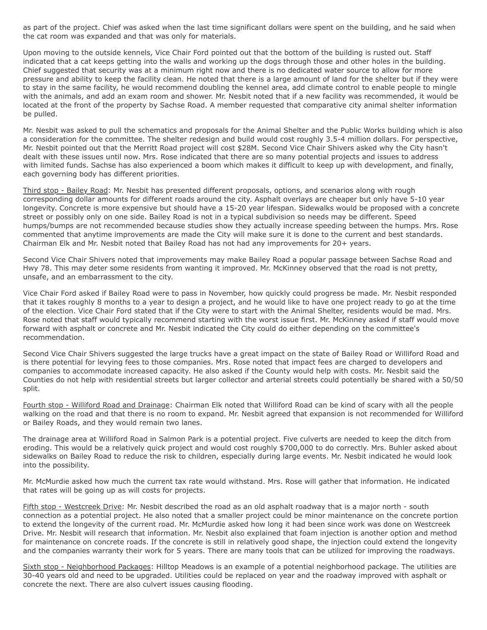as part of the project. Chief was asked when the last time significant dollars were spent on the building, and he said when the cat room was expanded and that was only for materials.

Upon moving to the outside kennels, Vice Chair Ford pointed out that the bottom of the building is rusted out. Staff indicated that a cat keeps getting into the walls and working up the dogs through those and other holes in the building. Chief suggested that security was at a minimum right now and there is no dedicated water source to allow for more pressure and ability to keep the facility clean. He noted that there is a large amount of land for the shelter but if they were to stay in the same facility, he would recommend doubling the kennel area, add climate control to enable people to mingle with the animals, and add an exam room and shower. Mr. Nesbit noted that if a new facility was recommended, it would be located at the front of the property by Sachse Road. A member requested that comparative city animal shelter information be pulled.

Mr. Nesbit was asked to pull the schematics and proposals for the Animal Shelter and the Public Works building which is also a consideration for the committee. The shelter redesign and build would cost roughly 3.5-4 million dollars. For perspective, Mr. Nesbit pointed out that the Merritt Road project will cost \$28M. Second Vice Chair Shivers asked why the City hasn't dealt with these issues until now. Mrs. Rose indicated that there are so many potential projects and issues to address with limited funds. Sachse has also experienced a boom which makes it difficult to keep up with development, and finally, each governing body has different priorities.

Third stop - Bailey Road: Mr. Nesbit has presented different proposals, options, and scenarios along with rough corresponding dollar amounts for different roads around the city. Asphalt overlays are cheaper but only have 5-10 year longevity. Concrete is more expensive but should have a 15-20 year lifespan. Sidewalks would be proposed with a concrete street or possibly only on one side. Bailey Road is not in a typical subdivision so needs may be different. Speed humps/bumps are not recommended because studies show they actually increase speeding between the humps. Mrs. Rose commented that anytime improvements are made the City will make sure it is done to the current and best standards. Chairman Elk and Mr. Nesbit noted that Bailey Road has not had any improvements for 20+ years.

Second Vice Chair Shivers noted that improvements may make Bailey Road a popular passage between Sachse Road and Hwy 78. This may deter some residents from wanting it improved. Mr. McKinney observed that the road is not pretty, unsafe, and an embarrassment to the city.

Vice Chair Ford asked if Bailey Road were to pass in November, how quickly could progress be made. Mr. Nesbit responded that it takes roughly 8 months to a year to design a project, and he would like to have one project ready to go at the time of the election. Vice Chair Ford stated that if the City were to start with the Animal Shelter, residents would be mad. Mrs. Rose noted that staff would typically recommend starting with the worst issue first. Mr. McKinney asked if staff would move forward with asphalt or concrete and Mr. Nesbit indicated the City could do either depending on the committee's recommendation.

Second Vice Chair Shivers suggested the large trucks have a great impact on the state of Bailey Road or Williford Road and is there potential for levying fees to those companies. Mrs. Rose noted that impact fees are charged to developers and companies to accommodate increased capacity. He also asked if the County would help with costs. Mr. Nesbit said the Counties do not help with residential streets but larger collector and arterial streets could potentially be shared with a 50/50 split.

Fourth stop - Williford Road and Drainage: Chairman Elk noted that Williford Road can be kind of scary with all the people walking on the road and that there is no room to expand. Mr. Nesbit agreed that expansion is not recommended for Williford or Bailey Roads, and they would remain two lanes.

The drainage area at Williford Road in Salmon Park is a potential project. Five culverts are needed to keep the ditch from eroding. This would be a relatively quick project and would cost roughly \$700,000 to do correctly. Mrs. Buhler asked about sidewalks on Bailey Road to reduce the risk to children, especially during large events. Mr. Nesbit indicated he would look into the possibility.

Mr. McMurdie asked how much the current tax rate would withstand. Mrs. Rose will gather that information. He indicated that rates will be going up as will costs for projects.

Fifth stop - Westcreek Drive: Mr. Nesbit described the road as an old asphalt roadway that is a major north - south connection as a potential project. He also noted that a smaller project could be minor maintenance on the concrete portion to extend the longevity of the current road. Mr. McMurdie asked how long it had been since work was done on Westcreek Drive. Mr. Nesbit will research that information. Mr. Nesbit also explained that foam injection is another option and method for maintenance on concrete roads. If the concrete is still in relatively good shape, the injection could extend the longevity and the companies warranty their work for 5 years. There are many tools that can be utilized for improving the roadways.

Sixth stop - Neighborhood Packages: Hilltop Meadows is an example of a potential neighborhood package. The utilities are 30-40 years old and need to be upgraded. Utilities could be replaced on year and the roadway improved with asphalt or concrete the next. There are also culvert issues causing flooding.